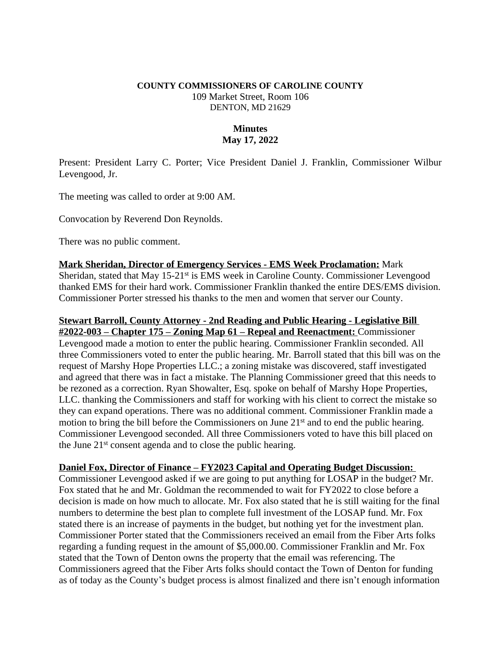### **COUNTY COMMISSIONERS OF CAROLINE COUNTY** 109 Market Street, Room 106 DENTON, MD 21629

## **Minutes May 17, 2022**

Present: President Larry C. Porter; Vice President Daniel J. Franklin, Commissioner Wilbur Levengood, Jr.

The meeting was called to order at 9:00 AM.

Convocation by Reverend Don Reynolds.

There was no public comment.

**Mark Sheridan, Director of Emergency Services - EMS Week Proclamation:** Mark Sheridan, stated that May 15-21st is EMS week in Caroline County. Commissioner Levengood thanked EMS for their hard work. Commissioner Franklin thanked the entire DES/EMS division. Commissioner Porter stressed his thanks to the men and women that server our County.

# **Stewart Barroll, County Attorney - 2nd Reading and Public Hearing - Legislative Bill**

**#2022-003 – Chapter 175 – Zoning Map 61 – Repeal and Reenactment:** Commissioner Levengood made a motion to enter the public hearing. Commissioner Franklin seconded. All three Commissioners voted to enter the public hearing. Mr. Barroll stated that this bill was on the request of Marshy Hope Properties LLC.; a zoning mistake was discovered, staff investigated and agreed that there was in fact a mistake. The Planning Commissioner greed that this needs to be rezoned as a correction. Ryan Showalter, Esq. spoke on behalf of Marshy Hope Properties, LLC. thanking the Commissioners and staff for working with his client to correct the mistake so they can expand operations. There was no additional comment. Commissioner Franklin made a motion to bring the bill before the Commissioners on June 21<sup>st</sup> and to end the public hearing. Commissioner Levengood seconded. All three Commissioners voted to have this bill placed on the June 21st consent agenda and to close the public hearing.

### **Daniel Fox, Director of Finance – FY2023 Capital and Operating Budget Discussion:**

Commissioner Levengood asked if we are going to put anything for LOSAP in the budget? Mr. Fox stated that he and Mr. Goldman the recommended to wait for FY2022 to close before a decision is made on how much to allocate. Mr. Fox also stated that he is still waiting for the final numbers to determine the best plan to complete full investment of the LOSAP fund. Mr. Fox stated there is an increase of payments in the budget, but nothing yet for the investment plan. Commissioner Porter stated that the Commissioners received an email from the Fiber Arts folks regarding a funding request in the amount of \$5,000.00. Commissioner Franklin and Mr. Fox stated that the Town of Denton owns the property that the email was referencing. The Commissioners agreed that the Fiber Arts folks should contact the Town of Denton for funding as of today as the County's budget process is almost finalized and there isn't enough information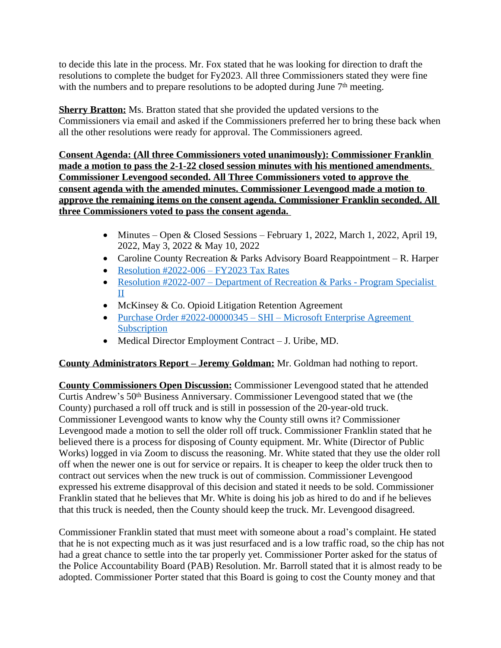to decide this late in the process. Mr. Fox stated that he was looking for direction to draft the resolutions to complete the budget for Fy2023. All three Commissioners stated they were fine with the numbers and to prepare resolutions to be adopted during June  $7<sup>th</sup>$  meeting.

**Sherry Bratton:** Ms. Bratton stated that she provided the updated versions to the Commissioners via email and asked if the Commissioners preferred her to bring these back when all the other resolutions were ready for approval. The Commissioners agreed.

**Consent Agenda: (All three Commissioners voted unanimously): Commissioner Franklin made a motion to pass the 2-1-22 closed session minutes with his mentioned amendments. Commissioner Levengood seconded. All Three Commissioners voted to approve the consent agenda with the amended minutes. Commissioner Levengood made a motion to approve the remaining items on the consent agenda. Commissioner Franklin seconded. All three Commissioners voted to pass the consent agenda.** 

- Minutes Open & Closed Sessions February 1, 2022, March 1, 2022, April 19, 2022, May 3, 2022 & May 10, 2022
- Caroline County Recreation & Parks Advisory Board Reappointment R. Harper
- Resolution  $\text{\#2022-006} \text{FY2023 Tax Rates}$
- Resolution #2022-007 Department of Recreation & Parks Program Specialist II
- McKinsey & Co. Opioid Litigation Retention Agreement
- [Purchase Order #2022-00000345](https://www.carolinemd.org/DocumentCenter/View/7127/2022-Micorsoft-EA-Purchase-Summary-Complete)  SHI Microsoft Enterprise Agreement **Subscription**
- Medical Director Employment Contract J. Uribe, MD.

## **County Administrators Report – Jeremy Goldman:** Mr. Goldman had nothing to report.

**County Commissioners Open Discussion:** Commissioner Levengood stated that he attended Curtis Andrew's 50th Business Anniversary. Commissioner Levengood stated that we (the County) purchased a roll off truck and is still in possession of the 20-year-old truck. Commissioner Levengood wants to know why the County still owns it? Commissioner Levengood made a motion to sell the older roll off truck. Commissioner Franklin stated that he believed there is a process for disposing of County equipment. Mr. White (Director of Public Works) logged in via Zoom to discuss the reasoning. Mr. White stated that they use the older roll off when the newer one is out for service or repairs. It is cheaper to keep the older truck then to contract out services when the new truck is out of commission. Commissioner Levengood expressed his extreme disapproval of this decision and stated it needs to be sold. Commissioner Franklin stated that he believes that Mr. White is doing his job as hired to do and if he believes that this truck is needed, then the County should keep the truck. Mr. Levengood disagreed.

Commissioner Franklin stated that must meet with someone about a road's complaint. He stated that he is not expecting much as it was just resurfaced and is a low traffic road, so the chip has not had a great chance to settle into the tar properly yet. Commissioner Porter asked for the status of the Police Accountability Board (PAB) Resolution. Mr. Barroll stated that it is almost ready to be adopted. Commissioner Porter stated that this Board is going to cost the County money and that